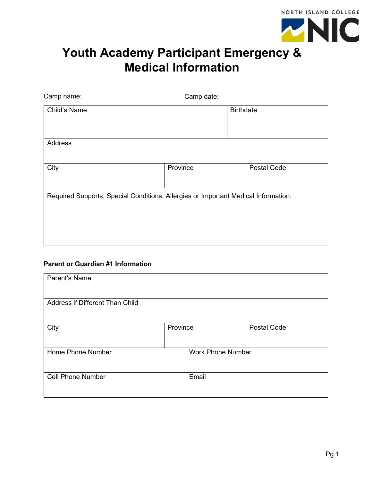

## **Youth Academy Participant Emergency & Medical Information**

| Camp name:                                                                         | Camp date: |                  |             |
|------------------------------------------------------------------------------------|------------|------------------|-------------|
| Child's Name                                                                       |            | <b>Birthdate</b> |             |
| Address                                                                            |            |                  |             |
| City                                                                               | Province   |                  | Postal Code |
| Required Supports, Special Conditions, Allergies or Important Medical Information: |            |                  |             |

### **Parent or Guardian #1 Information**

| Parent's Name                   |          |                          |                    |
|---------------------------------|----------|--------------------------|--------------------|
| Address if Different Than Child |          |                          |                    |
| City                            | Province |                          | <b>Postal Code</b> |
| Home Phone Number               |          | <b>Work Phone Number</b> |                    |
| <b>Cell Phone Number</b>        |          | Email                    |                    |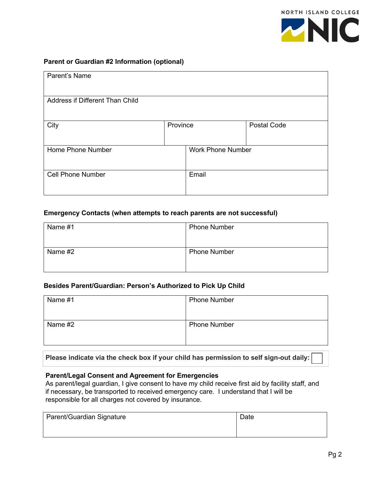

### **Parent or Guardian #2 Information (optional)**

| Parent's Name                   |          |                          |                    |
|---------------------------------|----------|--------------------------|--------------------|
| Address if Different Than Child |          |                          |                    |
| City                            | Province |                          | <b>Postal Code</b> |
| Home Phone Number               |          | <b>Work Phone Number</b> |                    |
| <b>Cell Phone Number</b>        |          | Email                    |                    |

#### **Emergency Contacts (when attempts to reach parents are not successful)**

| Name #1 | <b>Phone Number</b> |
|---------|---------------------|
|         |                     |
| Name #2 | <b>Phone Number</b> |
|         |                     |

#### **Besides Parent/Guardian: Person's Authorized to Pick Up Child**

| Name #1 | <b>Phone Number</b> |
|---------|---------------------|
| Name #2 | <b>Phone Number</b> |

**Please indicate via the check box if your child has permission to self sign-out daily:** 

### **Parent/Legal Consent and Agreement for Emergencies**

As parent/legal guardian, I give consent to have my child receive first aid by facility staff, and if necessary, be transported to received emergency care. I understand that I will be responsible for all charges not covered by insurance.

| Parent/Guardian Signature | Date |
|---------------------------|------|
|                           |      |
|                           |      |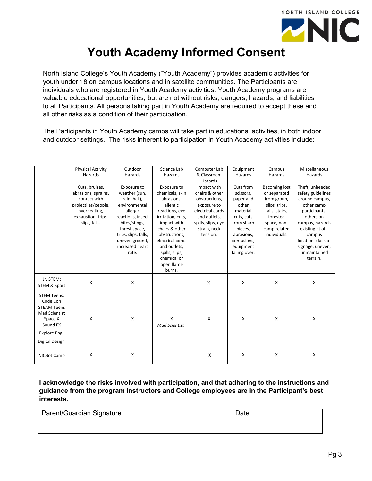

# **Youth Academy Informed Consent**

North Island College's Youth Academy ("Youth Academy") provides academic activities for youth under 18 on campus locations and in satellite communities. The Participants are individuals who are registered in Youth Academy activities. Youth Academy programs are valuable educational opportunities, but are not without risks, dangers, hazards, and liabilities to all Participants. All persons taking part in Youth Academy are required to accept these and all other risks as a condition of their participation.

The Participants in Youth Academy camps will take part in educational activities, in both indoor and outdoor settings. The risks inherent to participation in Youth Academy activities include:

|                                                                                                                                | <b>Physical Activity</b>                                                                                                            | Outdoor                                                                                                                                                                                                | Science Lab                                                                                                                                                                                                                                    | Computer Lab                                                                                                                                        | Equipment                                                                                                                                                  | Campus                                                                                                                                            | Miscellaneous                                                                                                                                                                                                             |
|--------------------------------------------------------------------------------------------------------------------------------|-------------------------------------------------------------------------------------------------------------------------------------|--------------------------------------------------------------------------------------------------------------------------------------------------------------------------------------------------------|------------------------------------------------------------------------------------------------------------------------------------------------------------------------------------------------------------------------------------------------|-----------------------------------------------------------------------------------------------------------------------------------------------------|------------------------------------------------------------------------------------------------------------------------------------------------------------|---------------------------------------------------------------------------------------------------------------------------------------------------|---------------------------------------------------------------------------------------------------------------------------------------------------------------------------------------------------------------------------|
|                                                                                                                                | Hazards                                                                                                                             | Hazards                                                                                                                                                                                                | Hazards                                                                                                                                                                                                                                        | & Classroom<br>Hazards                                                                                                                              | Hazards                                                                                                                                                    | Hazards                                                                                                                                           | Hazards                                                                                                                                                                                                                   |
|                                                                                                                                | Cuts, bruises,<br>abrasions, sprains,<br>contact with<br>projectiles/people,<br>overheating,<br>exhaustion, trips,<br>slips, falls. | Exposure to<br>weather (sun,<br>rain, hail),<br>environmental<br>allergic<br>reactions, insect<br>bites/stings,<br>forest space,<br>trips, slips, falls,<br>uneven ground,<br>increased heart<br>rate. | Exposure to<br>chemicals, skin<br>abrasions,<br>allergic<br>reactions, eye<br>irritation, cuts,<br>impact with<br>chairs & other<br>obstructions,<br>electrical cords<br>and outlets,<br>spills, slips,<br>chemical or<br>open flame<br>burns. | Impact with<br>chairs & other<br>obstructions,<br>exposure to<br>electrical cords<br>and outlets,<br>spills, slips, eye<br>strain, neck<br>tension. | Cuts from<br>scissors,<br>paper and<br>other<br>material<br>cuts, cuts<br>from sharp<br>pieces,<br>abrasions,<br>contusions,<br>equipment<br>falling over. | <b>Becoming lost</b><br>or separated<br>from group,<br>slips, trips,<br>falls, stairs,<br>forested<br>space, non-<br>camp related<br>individuals. | Theft, unheeded<br>safety guidelines<br>around campus,<br>other camp<br>participants,<br>others on<br>campus, hazards<br>existing at off-<br>campus<br>locations: lack of<br>signage, uneven,<br>unmaintained<br>terrain. |
| Jr. STEM:<br>STEM & Sport                                                                                                      | x                                                                                                                                   | X                                                                                                                                                                                                      |                                                                                                                                                                                                                                                | X                                                                                                                                                   | $\mathsf{x}$                                                                                                                                               | X                                                                                                                                                 | X                                                                                                                                                                                                                         |
| <b>STEM Teens:</b><br>Code Con<br><b>STEAM Teens</b><br>Mad Scientist<br>Space X<br>Sound FX<br>Explore Eng.<br>Digital Design | x                                                                                                                                   | X                                                                                                                                                                                                      | X<br><b>Mad Scientist</b>                                                                                                                                                                                                                      | X                                                                                                                                                   | X                                                                                                                                                          | X                                                                                                                                                 | X                                                                                                                                                                                                                         |
| NICBot Camp                                                                                                                    | X                                                                                                                                   | X                                                                                                                                                                                                      |                                                                                                                                                                                                                                                | $\mathsf{x}$                                                                                                                                        | $\boldsymbol{\mathsf{X}}$                                                                                                                                  | X                                                                                                                                                 | X                                                                                                                                                                                                                         |

**I acknowledge the risks involved with participation, and that adhering to the instructions and guidance from the program Instructors and College employees are in the Participant's best interests.**

| Parent/Guardian Signature | Date |
|---------------------------|------|
|                           |      |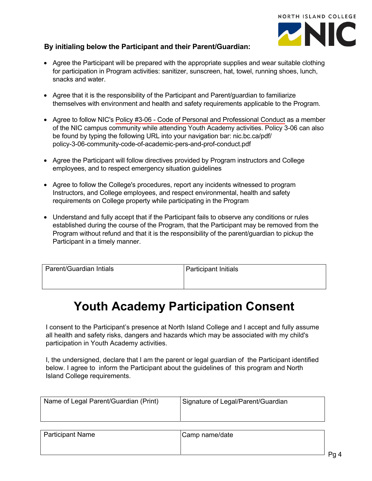

## **By initialing below the Participant and their Parent/Guardian:**

- Agree the Participant will be prepared with the appropriate supplies and wear suitable clothing for participation in Program activities: sanitizer, sunscreen, hat, towel, running shoes, lunch, snacks and water.
- Agree that it is the responsibility of the Participant and Parent/guardian to familiarize themselves with environment and health and safety requirements applicable to the Program.
- Agree to follow NIC's [Policy #3-06 Code of Personal and Professional Conduct](https://www.nic.bc.ca/pdf/policy-3-06-community-code-of-academic-pers-and-prof-conduct.pdf) as a member of the NIC campus community while attending Youth Academy activities. Policy 3-06 can also be found by typing the following URL into your navigation bar: nic.bc.ca/pdf/ policy-3-06-community-code-of-academic-pers-and-prof-conduct.pdf
- Agree the Participant will follow directives provided by Program instructors and College employees, and to respect emergency situation guidelines
- Agree to follow the College's procedures, report any incidents witnessed to program Instructors, and College employees, and respect environmental, health and safety requirements on College property while participating in the Program
- Understand and fully accept that if the Participant fails to observe any conditions or rules established during the course of the Program, that the Participant may be removed from the Program without refund and that it is the responsibility of the parent/guardian to pickup the Participant in a timely manner.

| Parent/Guardian Intials | Participant Initials |
|-------------------------|----------------------|
|                         |                      |

## **Youth Academy Participation Consent**

I consent to the Participant's presence at North Island College and I accept and fully assume all health and safety risks, dangers and hazards which may be associated with my child's participation in Youth Academy activities.

I, the undersigned, declare that I am the parent or legal guardian of the Participant identified below. I agree to inform the Participant about the guidelines of this program and North Island College requirements.

| Name of Legal Parent/Guardian (Print) | Signature of Legal/Parent/Guardian |
|---------------------------------------|------------------------------------|
|                                       |                                    |

| Participant Name | Camp name/date |  |
|------------------|----------------|--|
|                  |                |  |
|                  |                |  |